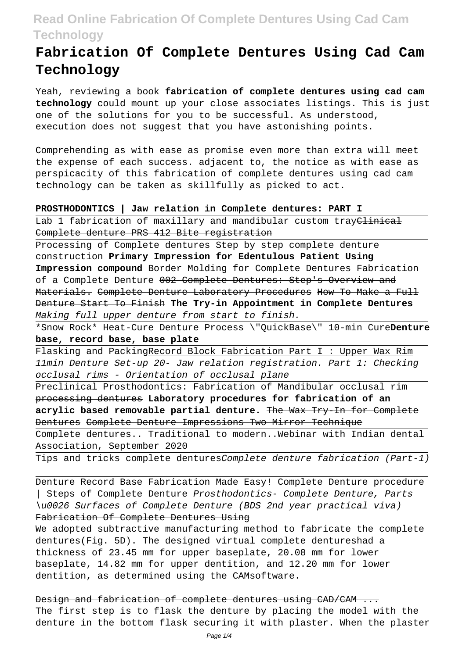# **Fabrication Of Complete Dentures Using Cad Cam Technology**

Yeah, reviewing a book **fabrication of complete dentures using cad cam technology** could mount up your close associates listings. This is just one of the solutions for you to be successful. As understood, execution does not suggest that you have astonishing points.

Comprehending as with ease as promise even more than extra will meet the expense of each success. adjacent to, the notice as with ease as perspicacity of this fabrication of complete dentures using cad cam technology can be taken as skillfully as picked to act.

### **PROSTHODONTICS | Jaw relation in Complete dentures: PART I**

Lab 1 fabrication of maxillary and mandibular custom tray<del>Clinical</del> Complete denture PRS 412 Bite registration

Processing of Complete dentures Step by step complete denture construction **Primary Impression for Edentulous Patient Using Impression compound** Border Molding for Complete Dentures Fabrication of a Complete Denture 002 Complete Dentures: Step's Overview and Materials. Complete Denture Laboratory Procedures How To Make a Full Denture Start To Finish **The Try-in Appointment in Complete Dentures** Making full upper denture from start to finish.

\*Snow Rock\* Heat-Cure Denture Process \"QuickBase\" 10-min Cure**Denture base, record base, base plate**

Flasking and PackingRecord Block Fabrication Part I: Upper Wax Rim 11min Denture Set-up 20- Jaw relation registration. Part 1: Checking occlusal rims - Orientation of occlusal plane

Preclinical Prosthodontics: Fabrication of Mandibular occlusal rim processing dentures **Laboratory procedures for fabrication of an acrylic based removable partial denture.** The Wax Try-In for Complete Dentures Complete Denture Impressions Two Mirror Technique

Complete dentures.. Traditional to modern..Webinar with Indian dental Association, September 2020

Tips and tricks complete denturesComplete denture fabrication (Part-1)

Denture Record Base Fabrication Made Easy! Complete Denture procedure | Steps of Complete Denture Prosthodontics- Complete Denture, Parts \u0026 Surfaces of Complete Denture (BDS 2nd year practical viva) Fabrication Of Complete Dentures Using

We adopted subtractive manufacturing method to fabricate the complete dentures(Fig. 5D). The designed virtual complete dentureshad a thickness of 23.45 mm for upper baseplate, 20.08 mm for lower baseplate, 14.82 mm for upper dentition, and 12.20 mm for lower dentition, as determined using the CAMsoftware.

Design and fabrication of complete dentures using CAD/CAM ... The first step is to flask the denture by placing the model with the denture in the bottom flask securing it with plaster. When the plaster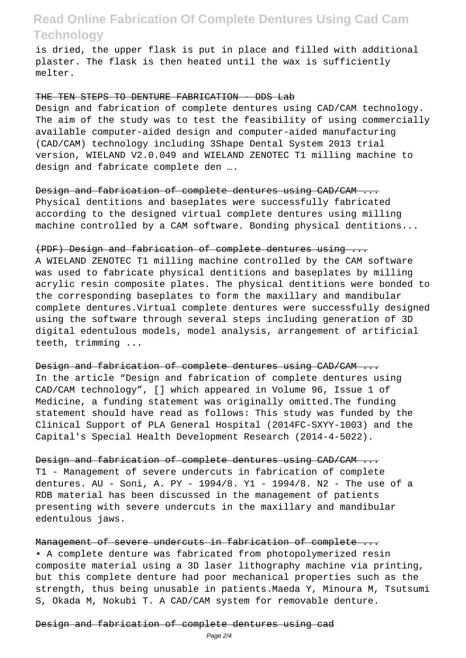is dried, the upper flask is put in place and filled with additional plaster. The flask is then heated until the wax is sufficiently melter.

#### THE TEN STEPS TO DENTURE FABRICATION - DDS Lab

Design and fabrication of complete dentures using CAD/CAM technology. The aim of the study was to test the feasibility of using commercially available computer-aided design and computer-aided manufacturing (CAD/CAM) technology including 3Shape Dental System 2013 trial version, WIELAND V2.0.049 and WIELAND ZENOTEC T1 milling machine to design and fabricate complete den ….

Design and fabrication of complete dentures using CAD/CAM ... Physical dentitions and baseplates were successfully fabricated according to the designed virtual complete dentures using milling machine controlled by a CAM software. Bonding physical dentitions...

### (PDF) Design and fabrication of complete dentures using ...

A WIELAND ZENOTEC T1 milling machine controlled by the CAM software was used to fabricate physical dentitions and baseplates by milling acrylic resin composite plates. The physical dentitions were bonded to the corresponding baseplates to form the maxillary and mandibular complete dentures.Virtual complete dentures were successfully designed using the software through several steps including generation of 3D digital edentulous models, model analysis, arrangement of artificial teeth, trimming ...

#### Design and fabrication of complete dentures using CAD/CAM.

In the article "Design and fabrication of complete dentures using CAD/CAM technology", [] which appeared in Volume 96, Issue 1 of Medicine, a funding statement was originally omitted.The funding statement should have read as follows: This study was funded by the Clinical Support of PLA General Hospital (2014FC-SXYY-1003) and the Capital's Special Health Development Research (2014-4-5022).

Design and fabrication of complete dentures using CAD/CAM ... T1 - Management of severe undercuts in fabrication of complete dentures. AU - Soni, A. PY - 1994/8. Y1 - 1994/8. N2 - The use of a RDB material has been discussed in the management of patients presenting with severe undercuts in the maxillary and mandibular edentulous jaws.

## Management of severe undercuts in fabrication of complete ...

• A complete denture was fabricated from photopolymerized resin composite material using a 3D laser lithography machine via printing, but this complete denture had poor mechanical properties such as the strength, thus being unusable in patients.Maeda Y, Minoura M, Tsutsumi S, Okada M, Nokubi T. A CAD/CAM system for removable denture.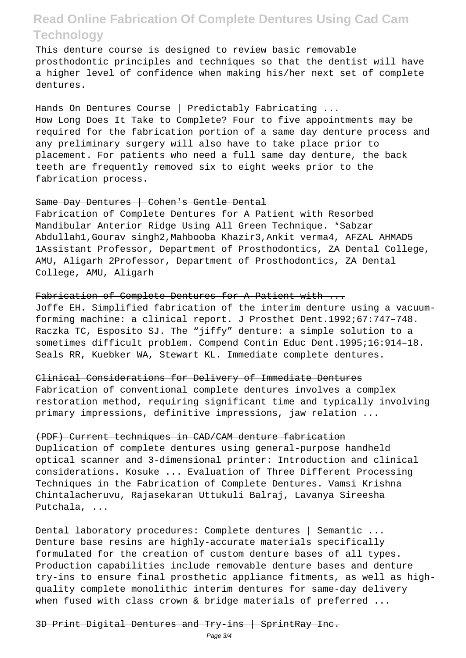This denture course is designed to review basic removable prosthodontic principles and techniques so that the dentist will have a higher level of confidence when making his/her next set of complete dentures.

### Hands On Dentures Course | Predictably Fabricating ...

How Long Does It Take to Complete? Four to five appointments may be required for the fabrication portion of a same day denture process and any preliminary surgery will also have to take place prior to placement. For patients who need a full same day denture, the back teeth are frequently removed six to eight weeks prior to the fabrication process.

## Same Day Dentures | Cohen's Gentle Dental

Fabrication of Complete Dentures for A Patient with Resorbed Mandibular Anterior Ridge Using All Green Technique. \*Sabzar Abdullah1,Gourav singh2,Mahbooba Khazir3,Ankit verma4, AFZAL AHMAD5 1Assistant Professor, Department of Prosthodontics, ZA Dental College, AMU, Aligarh 2Professor, Department of Prosthodontics, ZA Dental College, AMU, Aligarh

### Fabrication of Complete Dentures for A Patient with ...

Joffe EH. Simplified fabrication of the interim denture using a vacuumforming machine: a clinical report. J Prosthet Dent.1992;67:747–748. Raczka TC, Esposito SJ. The "jiffy" denture: a simple solution to a sometimes difficult problem. Compend Contin Educ Dent.1995;16:914–18. Seals RR, Kuebker WA, Stewart KL. Immediate complete dentures.

#### Clinical Considerations for Delivery of Immediate Dentures

Fabrication of conventional complete dentures involves a complex restoration method, requiring significant time and typically involving primary impressions, definitive impressions, jaw relation ...

#### (PDF) Current techniques in CAD/CAM denture fabrication

Duplication of complete dentures using general-purpose handheld optical scanner and 3-dimensional printer: Introduction and clinical considerations. Kosuke ... Evaluation of Three Different Processing Techniques in the Fabrication of Complete Dentures. Vamsi Krishna Chintalacheruvu, Rajasekaran Uttukuli Balraj, Lavanya Sireesha Putchala, ...

Dental laboratory procedures: Complete dentures | Semantic ... Denture base resins are highly-accurate materials specifically formulated for the creation of custom denture bases of all types. Production capabilities include removable denture bases and denture try-ins to ensure final prosthetic appliance fitments, as well as highquality complete monolithic interim dentures for same-day delivery when fused with class crown & bridge materials of preferred ...